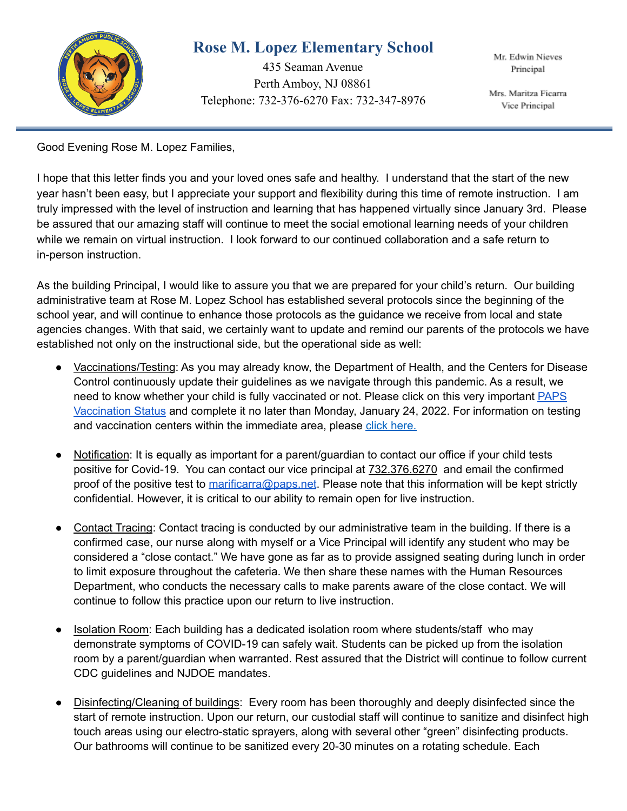

## **Rose M. Lopez Elementary School**

435 Seaman Avenue Perth Amboy, NJ 08861 Telephone: 732-376-6270 Fax: 732-347-8976 Mr. Edwin Nieves Principal

Mrs. Maritza Ficarra Vice Principal

Good Evening Rose M. Lopez Families,

I hope that this letter finds you and your loved ones safe and healthy. I understand that the start of the new year hasn't been easy, but I appreciate your support and flexibility during this time of remote instruction. I am truly impressed with the level of instruction and learning that has happened virtually since January 3rd. Please be assured that our amazing staff will continue to meet the social emotional learning needs of your children while we remain on virtual instruction. I look forward to our continued collaboration and a safe return to in-person instruction.

As the building Principal, I would like to assure you that we are prepared for your child's return. Our building administrative team at Rose M. Lopez School has established several protocols since the beginning of the school year, and will continue to enhance those protocols as the guidance we receive from local and state agencies changes. With that said, we certainly want to update and remind our parents of the protocols we have established not only on the instructional side, but the operational side as well:

- Vaccinations/Testing: As you may already know, the Department of Health, and the Centers for Disease Control continuously update their guidelines as we navigate through this pandemic. As a result, we need to know whether your child is fully vaccinated or not. Please click on this very important [PAPS](https://forms.gle/YPFizmBXk8ijKtLB9) [Vaccination](https://forms.gle/YPFizmBXk8ijKtLB9) Status and complete it no later than Monday, January 24, 2022. For information on testing and vaccination centers within the immediate area, please click [here.](https://www.perthamboynj.org/community/news/announcements/perth_amboy_testing_and_vaccination_locations)
- Notification: It is equally as important for a parent/guardian to contact our office if your child tests positive for Covid-19. You can contact our vice principal at 732.376.6270 and email the confirmed proof of the positive test to [marificarra@paps.net](mailto:marificarra@paps.net). Please note that this information will be kept strictly confidential. However, it is critical to our ability to remain open for live instruction.
- Contact Tracing: Contact tracing is conducted by our administrative team in the building. If there is a confirmed case, our nurse along with myself or a Vice Principal will identify any student who may be considered a "close contact." We have gone as far as to provide assigned seating during lunch in order to limit exposure throughout the cafeteria. We then share these names with the Human Resources Department, who conducts the necessary calls to make parents aware of the close contact. We will continue to follow this practice upon our return to live instruction.
- Isolation Room: Each building has a dedicated isolation room where students/staff who may demonstrate symptoms of COVID-19 can safely wait. Students can be picked up from the isolation room by a parent/guardian when warranted. Rest assured that the District will continue to follow current CDC guidelines and NJDOE mandates.
- Disinfecting/Cleaning of buildings: Every room has been thoroughly and deeply disinfected since the start of remote instruction. Upon our return, our custodial staff will continue to sanitize and disinfect high touch areas using our electro-static sprayers, along with several other "green" disinfecting products. Our bathrooms will continue to be sanitized every 20-30 minutes on a rotating schedule. Each